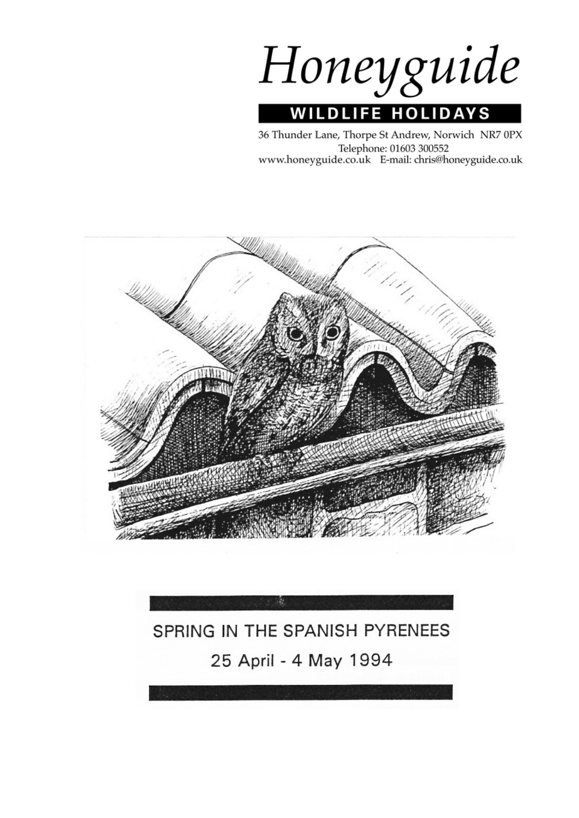Honeyguide **WILDLIFE HOLIDAYS** 

36 Thunder Lane, Thorpe St Andrew, Norwich NR7 0PX Telephone: 01603 300552 www.honeyguide.co.uk E-mail: chris@honeyguide.co.uk



# SPRING IN THE SPANISH PYRENEES 25 April - 4 May 1994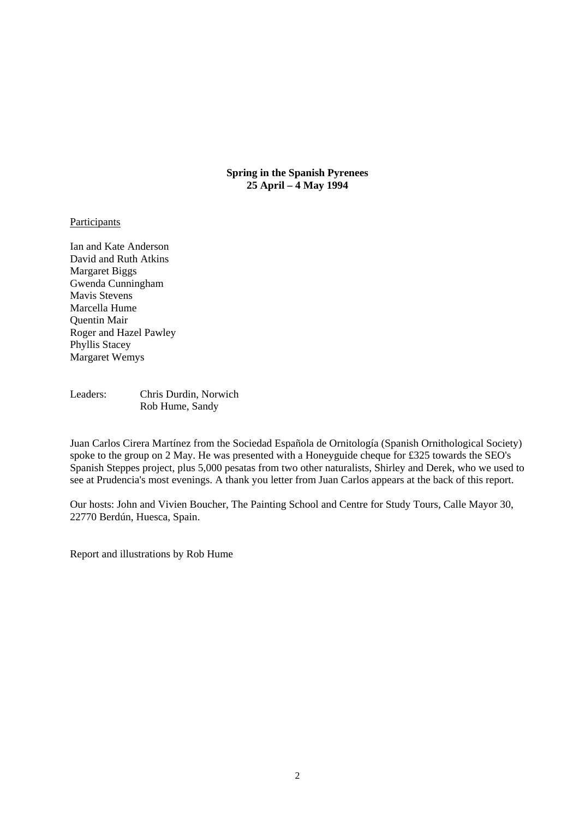**Spring in the Spanish Pyrenees 25 April – 4 May 1994** 

#### **Participants**

Ian and Kate Anderson David and Ruth Atkins Margaret Biggs Gwenda Cunningham Mavis Stevens Marcella Hume Quentin Mair Roger and Hazel Pawley Phyllis Stacey Margaret Wemys

Leaders: Chris Durdin, Norwich Rob Hume, Sandy

Juan Carlos Cirera Martínez from the Sociedad Española de Ornitología (Spanish Ornithological Society) spoke to the group on 2 May. He was presented with a Honeyguide cheque for £325 towards the SEO's Spanish Steppes project, plus 5,000 pesatas from two other naturalists, Shirley and Derek, who we used to see at Prudencia's most evenings. A thank you letter from Juan Carlos appears at the back of this report.

Our hosts: John and Vivien Boucher, The Painting School and Centre for Study Tours, Calle Mayor 30, 22770 Berdún, Huesca, Spain.

Report and illustrations by Rob Hume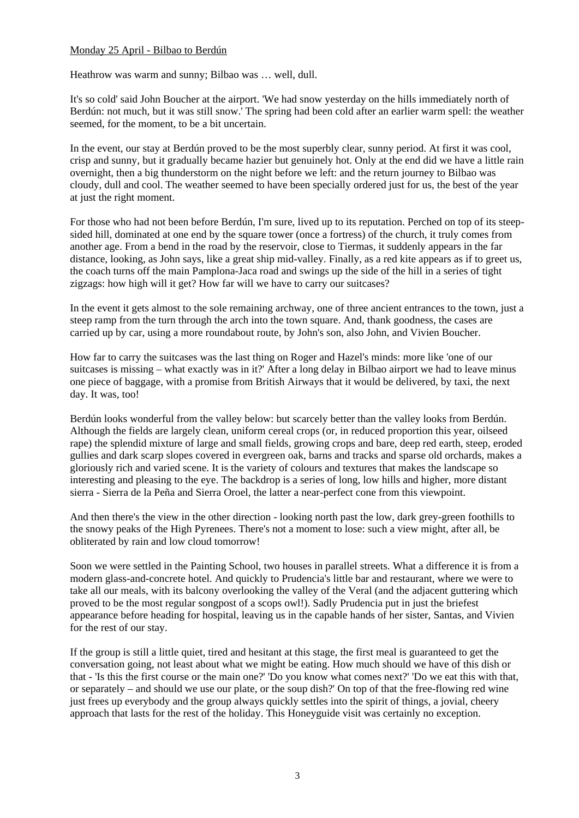# Monday 25 April - Bilbao to Berdún

Heathrow was warm and sunny; Bilbao was … well, dull.

It's so cold' said John Boucher at the airport. 'We had snow yesterday on the hills immediately north of Berdún: not much, but it was still snow.' The spring had been cold after an earlier warm spell: the weather seemed, for the moment, to be a bit uncertain.

In the event, our stay at Berdún proved to be the most superbly clear, sunny period. At first it was cool, crisp and sunny, but it gradually became hazier but genuinely hot. Only at the end did we have a little rain overnight, then a big thunderstorm on the night before we left: and the return journey to Bilbao was cloudy, dull and cool. The weather seemed to have been specially ordered just for us, the best of the year at just the right moment.

For those who had not been before Berdún, I'm sure, lived up to its reputation. Perched on top of its steepsided hill, dominated at one end by the square tower (once a fortress) of the church, it truly comes from another age. From a bend in the road by the reservoir, close to Tiermas, it suddenly appears in the far distance, looking, as John says, like a great ship mid-valley. Finally, as a red kite appears as if to greet us, the coach turns off the main Pamplona-Jaca road and swings up the side of the hill in a series of tight zigzags: how high will it get? How far will we have to carry our suitcases?

In the event it gets almost to the sole remaining archway, one of three ancient entrances to the town, just a steep ramp from the turn through the arch into the town square. And, thank goodness, the cases are carried up by car, using a more roundabout route, by John's son, also John, and Vivien Boucher.

How far to carry the suitcases was the last thing on Roger and Hazel's minds: more like 'one of our suitcases is missing – what exactly was in it?' After a long delay in Bilbao airport we had to leave minus one piece of baggage, with a promise from British Airways that it would be delivered, by taxi, the next day. It was, too!

Berdún looks wonderful from the valley below: but scarcely better than the valley looks from Berdún. Although the fields are largely clean, uniform cereal crops (or, in reduced proportion this year, oilseed rape) the splendid mixture of large and small fields, growing crops and bare, deep red earth, steep, eroded gullies and dark scarp slopes covered in evergreen oak, barns and tracks and sparse old orchards, makes a gloriously rich and varied scene. It is the variety of colours and textures that makes the landscape so interesting and pleasing to the eye. The backdrop is a series of long, low hills and higher, more distant sierra - Sierra de la Peña and Sierra Oroel, the latter a near-perfect cone from this viewpoint.

And then there's the view in the other direction - looking north past the low, dark grey-green foothills to the snowy peaks of the High Pyrenees. There's not a moment to lose: such a view might, after all, be obliterated by rain and low cloud tomorrow!

Soon we were settled in the Painting School, two houses in parallel streets. What a difference it is from a modern glass-and-concrete hotel. And quickly to Prudencia's little bar and restaurant, where we were to take all our meals, with its balcony overlooking the valley of the Veral (and the adjacent guttering which proved to be the most regular songpost of a scops owl!). Sadly Prudencia put in just the briefest appearance before heading for hospital, leaving us in the capable hands of her sister, Santas, and Vivien for the rest of our stay.

If the group is still a little quiet, tired and hesitant at this stage, the first meal is guaranteed to get the conversation going, not least about what we might be eating. How much should we have of this dish or that - 'Is this the first course or the main one?' 'Do you know what comes next?' 'Do we eat this with that, or separately – and should we use our plate, or the soup dish?' On top of that the free-flowing red wine just frees up everybody and the group always quickly settles into the spirit of things, a jovial, cheery approach that lasts for the rest of the holiday. This Honeyguide visit was certainly no exception.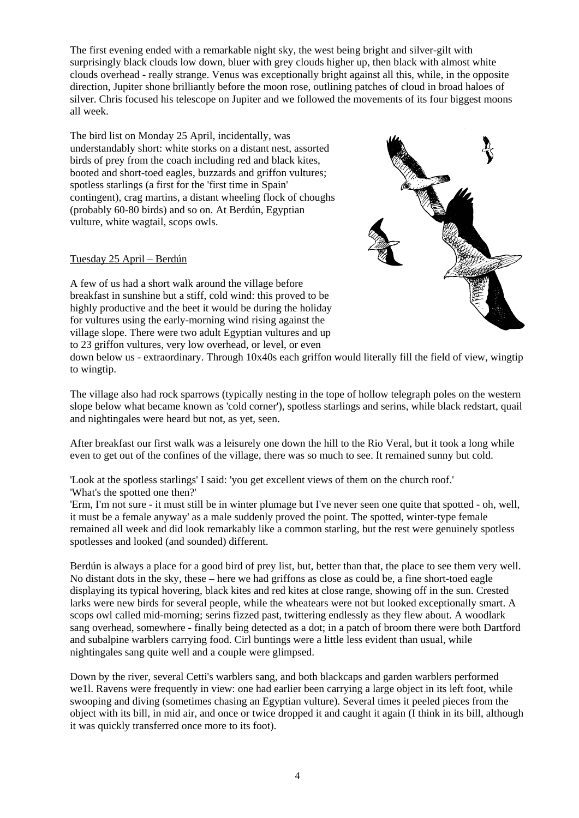The first evening ended with a remarkable night sky, the west being bright and silver-gilt with surprisingly black clouds low down, bluer with grey clouds higher up, then black with almost white clouds overhead - really strange. Venus was exceptionally bright against all this, while, in the opposite direction, Jupiter shone brilliantly before the moon rose, outlining patches of cloud in broad haloes of silver. Chris focused his telescope on Jupiter and we followed the movements of its four biggest moons all week.

The bird list on Monday 25 April, incidentally, was understandably short: white storks on a distant nest, assorted birds of prey from the coach including red and black kites, booted and short-toed eagles, buzzards and griffon vultures; spotless starlings (a first for the 'first time in Spain' contingent), crag martins, a distant wheeling flock of choughs (probably 60-80 birds) and so on. At Berdún, Egyptian vulture, white wagtail, scops owls.

# Tuesday 25 April – Berdún

A few of us had a short walk around the village before breakfast in sunshine but a stiff, cold wind: this proved to be highly productive and the beet it would be during the holiday for vultures using the early-morning wind rising against the village slope. There were two adult Egyptian vultures and up to 23 griffon vultures, very low overhead, or level, or even



down below us - extraordinary. Through 10x40s each griffon would literally fill the field of view, wingtip to wingtip.

The village also had rock sparrows (typically nesting in the tope of hollow telegraph poles on the western slope below what became known as 'cold corner'), spotless starlings and serins, while black redstart, quail and nightingales were heard but not, as yet, seen.

After breakfast our first walk was a leisurely one down the hill to the Rio Veral, but it took a long while even to get out of the confines of the village, there was so much to see. It remained sunny but cold.

'Look at the spotless starlings' I said: 'you get excellent views of them on the church roof.' 'What's the spotted one then?'

'Erm, I'm not sure - it must still be in winter plumage but I've never seen one quite that spotted - oh, well, it must be a female anyway' as a male suddenly proved the point. The spotted, winter-type female remained all week and did look remarkably like a common starling, but the rest were genuinely spotless spotlesses and looked (and sounded) different.

Berdún is always a place for a good bird of prey list, but, better than that, the place to see them very well. No distant dots in the sky, these – here we had griffons as close as could be, a fine short-toed eagle displaying its typical hovering, black kites and red kites at close range, showing off in the sun. Crested larks were new birds for several people, while the wheatears were not but looked exceptionally smart. A scops owl called mid-morning; serins fizzed past, twittering endlessly as they flew about. A woodlark sang overhead, somewhere - finally being detected as a dot; in a patch of broom there were both Dartford and subalpine warblers carrying food. Cirl buntings were a little less evident than usual, while nightingales sang quite well and a couple were glimpsed.

Down by the river, several Cetti's warblers sang, and both blackcaps and garden warblers performed we1l. Ravens were frequently in view: one had earlier been carrying a large object in its left foot, while swooping and diving (sometimes chasing an Egyptian vulture). Several times it peeled pieces from the object with its bill, in mid air, and once or twice dropped it and caught it again (I think in its bill, although it was quickly transferred once more to its foot).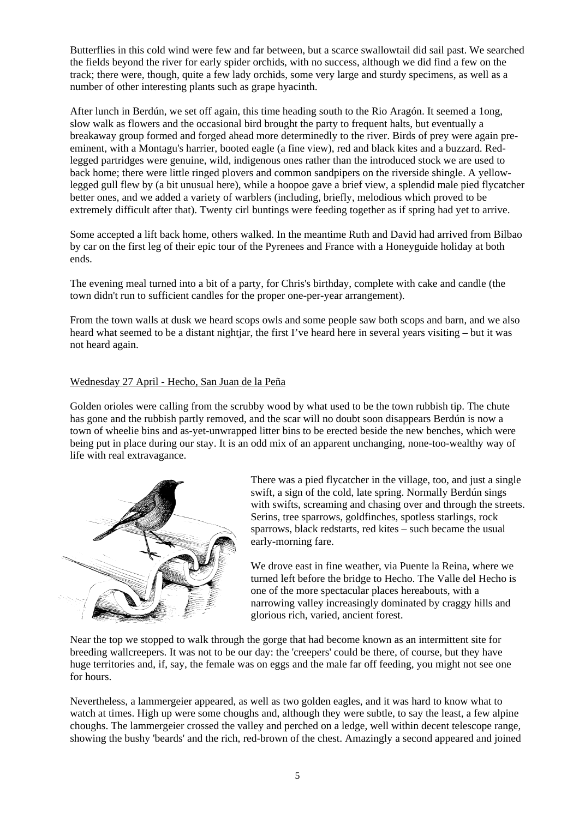Butterflies in this cold wind were few and far between, but a scarce swallowtail did sail past. We searched the fields beyond the river for early spider orchids, with no success, although we did find a few on the track; there were, though, quite a few lady orchids, some very large and sturdy specimens, as well as a number of other interesting plants such as grape hyacinth.

After lunch in Berdún, we set off again, this time heading south to the Rio Aragón. It seemed a 1ong, slow walk as flowers and the occasional bird brought the party to frequent halts, but eventually a breakaway group formed and forged ahead more determinedly to the river. Birds of prey were again preeminent, with a Montagu's harrier, booted eagle (a fine view), red and black kites and a buzzard. Redlegged partridges were genuine, wild, indigenous ones rather than the introduced stock we are used to back home; there were little ringed plovers and common sandpipers on the riverside shingle. A yellowlegged gull flew by (a bit unusual here), while a hoopoe gave a brief view, a splendid male pied flycatcher better ones, and we added a variety of warblers (including, briefly, melodious which proved to be extremely difficult after that). Twenty cirl buntings were feeding together as if spring had yet to arrive.

Some accepted a lift back home, others walked. In the meantime Ruth and David had arrived from Bilbao by car on the first leg of their epic tour of the Pyrenees and France with a Honeyguide holiday at both ends.

The evening meal turned into a bit of a party, for Chris's birthday, complete with cake and candle (the town didn't run to sufficient candles for the proper one-per-year arrangement).

From the town walls at dusk we heard scops owls and some people saw both scops and barn, and we also heard what seemed to be a distant nightjar, the first I've heard here in several years visiting – but it was not heard again.

# Wednesday 27 April - Hecho, San Juan de la Peña

Golden orioles were calling from the scrubby wood by what used to be the town rubbish tip. The chute has gone and the rubbish partly removed, and the scar will no doubt soon disappears Berdún is now a town of wheelie bins and as-yet-unwrapped litter bins to be erected beside the new benches, which were being put in place during our stay. It is an odd mix of an apparent unchanging, none-too-wealthy way of life with real extravagance.



There was a pied flycatcher in the village, too, and just a single swift, a sign of the cold, late spring. Normally Berdún sings with swifts, screaming and chasing over and through the streets. Serins, tree sparrows, goldfinches, spotless starlings, rock sparrows, black redstarts, red kites – such became the usual early-morning fare.

We drove east in fine weather, via Puente la Reina, where we turned left before the bridge to Hecho. The Valle del Hecho is one of the more spectacular places hereabouts, with a narrowing valley increasingly dominated by craggy hills and glorious rich, varied, ancient forest.

Near the top we stopped to walk through the gorge that had become known as an intermittent site for breeding wallcreepers. It was not to be our day: the 'creepers' could be there, of course, but they have huge territories and, if, say, the female was on eggs and the male far off feeding, you might not see one for hours.

Nevertheless, a lammergeier appeared, as well as two golden eagles, and it was hard to know what to watch at times. High up were some choughs and, although they were subtle, to say the least, a few alpine choughs. The lammergeier crossed the valley and perched on a ledge, well within decent telescope range, showing the bushy 'beards' and the rich, red-brown of the chest. Amazingly a second appeared and joined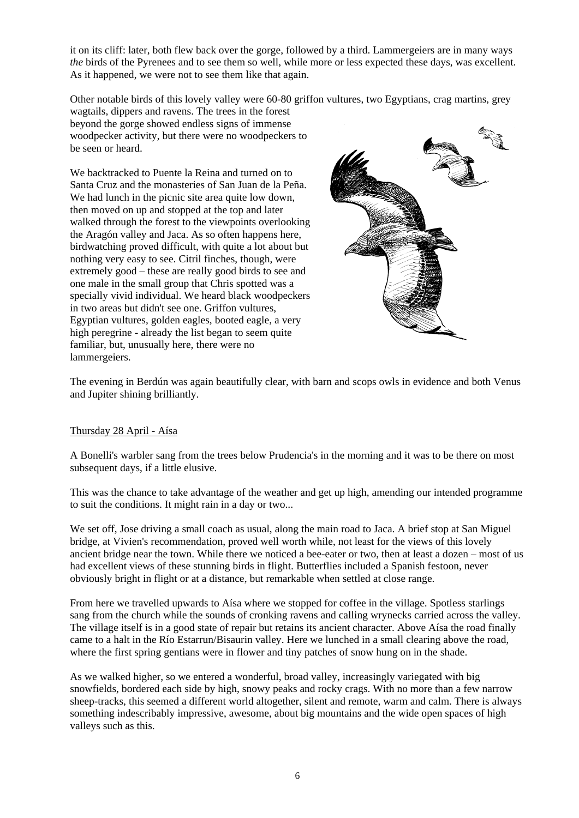it on its cliff: later, both flew back over the gorge, followed by a third. Lammergeiers are in many ways *the* birds of the Pyrenees and to see them so well, while more or less expected these days, was excellent. As it happened, we were not to see them like that again.

Other notable birds of this lovely valley were 60-80 griffon vultures, two Egyptians, crag martins, grey

wagtails, dippers and ravens. The trees in the forest beyond the gorge showed endless signs of immense woodpecker activity, but there were no woodpeckers to be seen or heard.

We backtracked to Puente la Reina and turned on to Santa Cruz and the monasteries of San Juan de la Peña. We had lunch in the picnic site area quite low down, then moved on up and stopped at the top and later walked through the forest to the viewpoints overlooking the Aragón valley and Jaca. As so often happens here, birdwatching proved difficult, with quite a lot about but nothing very easy to see. Citril finches, though, were extremely good – these are really good birds to see and one male in the small group that Chris spotted was a specially vivid individual. We heard black woodpeckers in two areas but didn't see one. Griffon vultures, Egyptian vultures, golden eagles, booted eagle, a very high peregrine - already the list began to seem quite familiar, but, unusually here, there were no lammergeiers.



The evening in Berdún was again beautifully clear, with barn and scops owls in evidence and both Venus and Jupiter shining brilliantly.

# Thursday 28 April - Aísa

A Bonelli's warbler sang from the trees below Prudencia's in the morning and it was to be there on most subsequent days, if a little elusive.

This was the chance to take advantage of the weather and get up high, amending our intended programme to suit the conditions. It might rain in a day or two...

We set off, Jose driving a small coach as usual, along the main road to Jaca. A brief stop at San Miguel bridge, at Vivien's recommendation, proved well worth while, not least for the views of this lovely ancient bridge near the town. While there we noticed a bee-eater or two, then at least a dozen – most of us had excellent views of these stunning birds in flight. Butterflies included a Spanish festoon, never obviously bright in flight or at a distance, but remarkable when settled at close range.

From here we travelled upwards to Aísa where we stopped for coffee in the village. Spotless starlings sang from the church while the sounds of cronking ravens and calling wrynecks carried across the valley. The village itself is in a good state of repair but retains its ancient character. Above Aísa the road finally came to a halt in the Río Estarrun/Bisaurin valley. Here we lunched in a small clearing above the road, where the first spring gentians were in flower and tiny patches of snow hung on in the shade.

As we walked higher, so we entered a wonderful, broad valley, increasingly variegated with big snowfields, bordered each side by high, snowy peaks and rocky crags. With no more than a few narrow sheep-tracks, this seemed a different world altogether, silent and remote, warm and calm. There is always something indescribably impressive, awesome, about big mountains and the wide open spaces of high valleys such as this.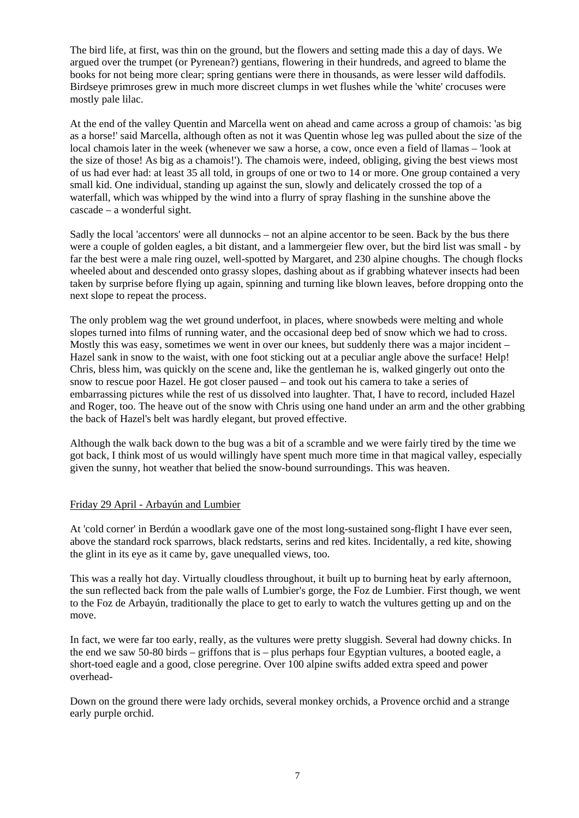The bird life, at first, was thin on the ground, but the flowers and setting made this a day of days. We argued over the trumpet (or Pyrenean?) gentians, flowering in their hundreds, and agreed to blame the books for not being more clear; spring gentians were there in thousands, as were lesser wild daffodils. Birdseye primroses grew in much more discreet clumps in wet flushes while the 'white' crocuses were mostly pale lilac.

At the end of the valley Quentin and Marcella went on ahead and came across a group of chamois: 'as big as a horse!' said Marcella, although often as not it was Quentin whose leg was pulled about the size of the local chamois later in the week (whenever we saw a horse, a cow, once even a field of llamas – 'look at the size of those! As big as a chamois!'). The chamois were, indeed, obliging, giving the best views most of us had ever had: at least 35 all told, in groups of one or two to 14 or more. One group contained a very small kid. One individual, standing up against the sun, slowly and delicately crossed the top of a waterfall, which was whipped by the wind into a flurry of spray flashing in the sunshine above the cascade – a wonderful sight.

Sadly the local 'accentors' were all dunnocks – not an alpine accentor to be seen. Back by the bus there were a couple of golden eagles, a bit distant, and a lammergeier flew over, but the bird list was small - by far the best were a male ring ouzel, well-spotted by Margaret, and 230 alpine choughs. The chough flocks wheeled about and descended onto grassy slopes, dashing about as if grabbing whatever insects had been taken by surprise before flying up again, spinning and turning like blown leaves, before dropping onto the next slope to repeat the process.

The only problem wag the wet ground underfoot, in places, where snowbeds were melting and whole slopes turned into films of running water, and the occasional deep bed of snow which we had to cross. Mostly this was easy, sometimes we went in over our knees, but suddenly there was a major incident – Hazel sank in snow to the waist, with one foot sticking out at a peculiar angle above the surface! Help! Chris, bless him, was quickly on the scene and, like the gentleman he is, walked gingerly out onto the snow to rescue poor Hazel. He got closer paused – and took out his camera to take a series of embarrassing pictures while the rest of us dissolved into laughter. That, I have to record, included Hazel and Roger, too. The heave out of the snow with Chris using one hand under an arm and the other grabbing the back of Hazel's belt was hardly elegant, but proved effective.

Although the walk back down to the bug was a bit of a scramble and we were fairly tired by the time we got back, I think most of us would willingly have spent much more time in that magical valley, especially given the sunny, hot weather that belied the snow-bound surroundings. This was heaven.

# Friday 29 April - Arbayún and Lumbier

At 'cold corner' in Berdún a woodlark gave one of the most long-sustained song-flight I have ever seen, above the standard rock sparrows, black redstarts, serins and red kites. Incidentally, a red kite, showing the glint in its eye as it came by, gave unequalled views, too.

This was a really hot day. Virtually cloudless throughout, it built up to burning heat by early afternoon, the sun reflected back from the pale walls of Lumbier's gorge, the Foz de Lumbier. First though, we went to the Foz de Arbayún, traditionally the place to get to early to watch the vultures getting up and on the move.

In fact, we were far too early, really, as the vultures were pretty sluggish. Several had downy chicks. In the end we saw 50-80 birds – griffons that is – plus perhaps four Egyptian vultures, a booted eagle, a short-toed eagle and a good, close peregrine. Over 100 alpine swifts added extra speed and power overhead-

Down on the ground there were lady orchids, several monkey orchids, a Provence orchid and a strange early purple orchid.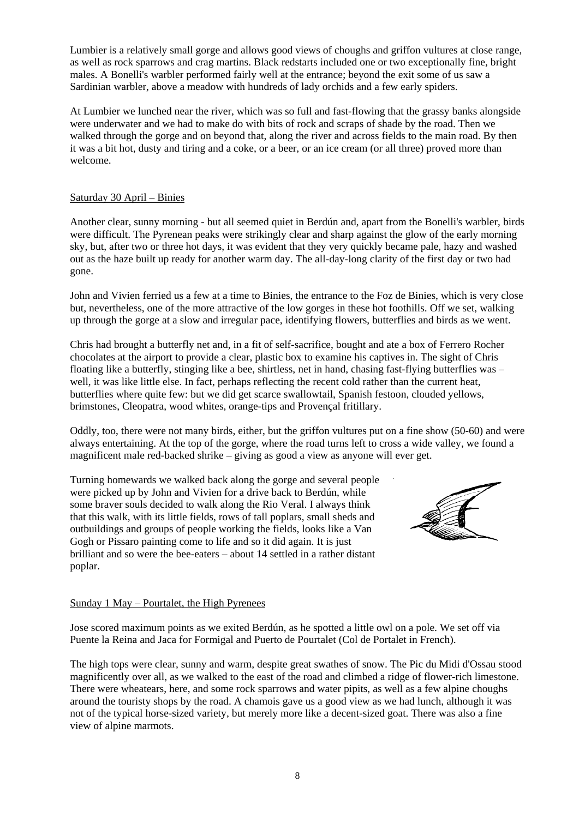Lumbier is a relatively small gorge and allows good views of choughs and griffon vultures at close range, as well as rock sparrows and crag martins. Black redstarts included one or two exceptionally fine, bright males. A Bonelli's warbler performed fairly well at the entrance; beyond the exit some of us saw a Sardinian warbler, above a meadow with hundreds of lady orchids and a few early spiders.

At Lumbier we lunched near the river, which was so full and fast-flowing that the grassy banks alongside were underwater and we had to make do with bits of rock and scraps of shade by the road. Then we walked through the gorge and on beyond that, along the river and across fields to the main road. By then it was a bit hot, dusty and tiring and a coke, or a beer, or an ice cream (or all three) proved more than welcome.

# Saturday 30 April – Binies

Another clear, sunny morning - but all seemed quiet in Berdún and, apart from the Bonelli's warbler, birds were difficult. The Pyrenean peaks were strikingly clear and sharp against the glow of the early morning sky, but, after two or three hot days, it was evident that they very quickly became pale, hazy and washed out as the haze built up ready for another warm day. The all-day-long clarity of the first day or two had gone.

John and Vivien ferried us a few at a time to Binies, the entrance to the Foz de Binies, which is very close but, nevertheless, one of the more attractive of the low gorges in these hot foothills. Off we set, walking up through the gorge at a slow and irregular pace, identifying flowers, butterflies and birds as we went.

Chris had brought a butterfly net and, in a fit of self-sacrifice, bought and ate a box of Ferrero Rocher chocolates at the airport to provide a clear, plastic box to examine his captives in. The sight of Chris floating like a butterfly, stinging like a bee, shirtless, net in hand, chasing fast-flying butterflies was – well, it was like little else. In fact, perhaps reflecting the recent cold rather than the current heat, butterflies where quite few: but we did get scarce swallowtail, Spanish festoon, clouded yellows, brimstones, Cleopatra, wood whites, orange-tips and Provençal fritillary.

Oddly, too, there were not many birds, either, but the griffon vultures put on a fine show (50-60) and were always entertaining. At the top of the gorge, where the road turns left to cross a wide valley, we found a magnificent male red-backed shrike – giving as good a view as anyone will ever get.

Turning homewards we walked back along the gorge and several people were picked up by John and Vivien for a drive back to Berdún, while some braver souls decided to walk along the Rio Veral. I always think that this walk, with its little fields, rows of tall poplars, small sheds and outbuildings and groups of people working the fields, looks like a Van Gogh or Pissaro painting come to life and so it did again. It is just brilliant and so were the bee-eaters – about 14 settled in a rather distant poplar.



# Sunday 1 May – Pourtalet, the High Pyrenees

Jose scored maximum points as we exited Berdún, as he spotted a little owl on a pole. We set off via Puente la Reina and Jaca for Formigal and Puerto de Pourtalet (Col de Portalet in French).

The high tops were clear, sunny and warm, despite great swathes of snow. The Pic du Midi d'Ossau stood magnificently over all, as we walked to the east of the road and climbed a ridge of flower-rich limestone. There were wheatears, here, and some rock sparrows and water pipits, as well as a few alpine choughs around the touristy shops by the road. A chamois gave us a good view as we had lunch, although it was not of the typical horse-sized variety, but merely more like a decent-sized goat. There was also a fine view of alpine marmots.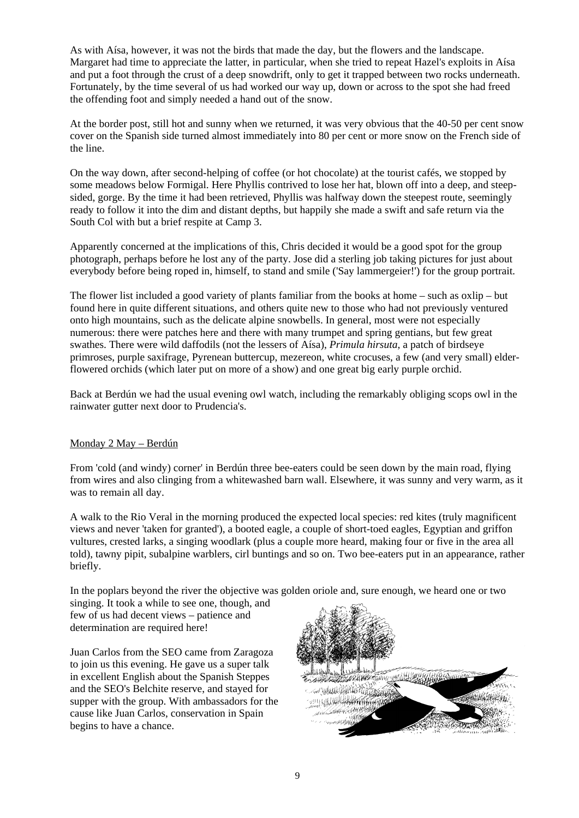As with Aísa, however, it was not the birds that made the day, but the flowers and the landscape. Margaret had time to appreciate the latter, in particular, when she tried to repeat Hazel's exploits in Aísa and put a foot through the crust of a deep snowdrift, only to get it trapped between two rocks underneath. Fortunately, by the time several of us had worked our way up, down or across to the spot she had freed the offending foot and simply needed a hand out of the snow.

At the border post, still hot and sunny when we returned, it was very obvious that the 40-50 per cent snow cover on the Spanish side turned almost immediately into 80 per cent or more snow on the French side of the line.

On the way down, after second-helping of coffee (or hot chocolate) at the tourist cafés, we stopped by some meadows below Formigal. Here Phyllis contrived to lose her hat, blown off into a deep, and steepsided, gorge. By the time it had been retrieved, Phyllis was halfway down the steepest route, seemingly ready to follow it into the dim and distant depths, but happily she made a swift and safe return via the South Col with but a brief respite at Camp 3.

Apparently concerned at the implications of this, Chris decided it would be a good spot for the group photograph, perhaps before he lost any of the party. Jose did a sterling job taking pictures for just about everybody before being roped in, himself, to stand and smile ('Say lammergeier!') for the group portrait.

The flower list included a good variety of plants familiar from the books at home – such as oxlip – but found here in quite different situations, and others quite new to those who had not previously ventured onto high mountains, such as the delicate alpine snowbells. In general, most were not especially numerous: there were patches here and there with many trumpet and spring gentians, but few great swathes. There were wild daffodils (not the lessers of Aísa), *Primula hirsuta*, a patch of birdseye primroses, purple saxifrage, Pyrenean buttercup, mezereon, white crocuses, a few (and very small) elderflowered orchids (which later put on more of a show) and one great big early purple orchid.

Back at Berdún we had the usual evening owl watch, including the remarkably obliging scops owl in the rainwater gutter next door to Prudencia's.

# Monday 2 May – Berdún

From 'cold (and windy) corner' in Berdún three bee-eaters could be seen down by the main road, flying from wires and also clinging from a whitewashed barn wall. Elsewhere, it was sunny and very warm, as it was to remain all day.

A walk to the Rio Veral in the morning produced the expected local species: red kites (truly magnificent views and never 'taken for granted'), a booted eagle, a couple of short-toed eagles, Egyptian and griffon vultures, crested larks, a singing woodlark (plus a couple more heard, making four or five in the area all told), tawny pipit, subalpine warblers, cirl buntings and so on. Two bee-eaters put in an appearance, rather briefly.

In the poplars beyond the river the objective was golden oriole and, sure enough, we heard one or two

singing. It took a while to see one, though, and few of us had decent views – patience and determination are required here!

Juan Carlos from the SEO came from Zaragoza to join us this evening. He gave us a super talk in excellent English about the Spanish Steppes and the SEO's Belchite reserve, and stayed for supper with the group. With ambassadors for the cause like Juan Carlos, conservation in Spain begins to have a chance.

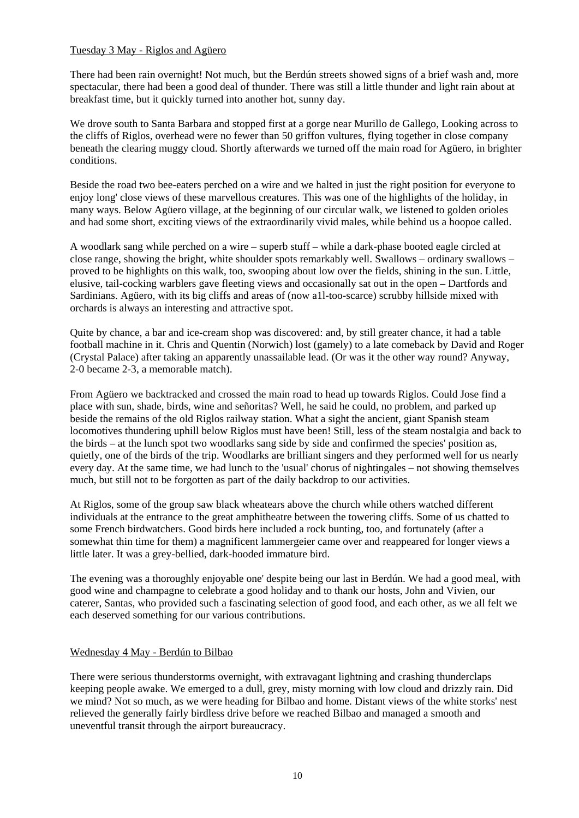# Tuesday 3 May - Riglos and Agüero

There had been rain overnight! Not much, but the Berdún streets showed signs of a brief wash and, more spectacular, there had been a good deal of thunder. There was still a little thunder and light rain about at breakfast time, but it quickly turned into another hot, sunny day.

We drove south to Santa Barbara and stopped first at a gorge near Murillo de Gallego, Looking across to the cliffs of Riglos, overhead were no fewer than 50 griffon vultures, flying together in close company beneath the clearing muggy cloud. Shortly afterwards we turned off the main road for Agüero, in brighter conditions.

Beside the road two bee-eaters perched on a wire and we halted in just the right position for everyone to enjoy long' close views of these marvellous creatures. This was one of the highlights of the holiday, in many ways. Below Agüero village, at the beginning of our circular walk, we listened to golden orioles and had some short, exciting views of the extraordinarily vivid males, while behind us a hoopoe called.

A woodlark sang while perched on a wire – superb stuff – while a dark-phase booted eagle circled at close range, showing the bright, white shoulder spots remarkably well. Swallows – ordinary swallows – proved to be highlights on this walk, too, swooping about low over the fields, shining in the sun. Little, elusive, tail-cocking warblers gave fleeting views and occasionally sat out in the open – Dartfords and Sardinians. Agüero, with its big cliffs and areas of (now a1l-too-scarce) scrubby hillside mixed with orchards is always an interesting and attractive spot.

Quite by chance, a bar and ice-cream shop was discovered: and, by still greater chance, it had a table football machine in it. Chris and Quentin (Norwich) lost (gamely) to a late comeback by David and Roger (Crystal Palace) after taking an apparently unassailable lead. (Or was it the other way round? Anyway, 2-0 became 2-3, a memorable match).

From Agüero we backtracked and crossed the main road to head up towards Riglos. Could Jose find a place with sun, shade, birds, wine and señoritas? Well, he said he could, no problem, and parked up beside the remains of the old Riglos railway station. What a sight the ancient, giant Spanish steam locomotives thundering uphill below Riglos must have been! Still, less of the steam nostalgia and back to the birds – at the lunch spot two woodlarks sang side by side and confirmed the species' position as, quietly, one of the birds of the trip. Woodlarks are brilliant singers and they performed well for us nearly every day. At the same time, we had lunch to the 'usual' chorus of nightingales – not showing themselves much, but still not to be forgotten as part of the daily backdrop to our activities.

At Riglos, some of the group saw black wheatears above the church while others watched different individuals at the entrance to the great amphitheatre between the towering cliffs. Some of us chatted to some French birdwatchers. Good birds here included a rock bunting, too, and fortunately (after a somewhat thin time for them) a magnificent lammergeier came over and reappeared for longer views a little later. It was a grey-bellied, dark-hooded immature bird.

The evening was a thoroughly enjoyable one' despite being our last in Berdún. We had a good meal, with good wine and champagne to celebrate a good holiday and to thank our hosts, John and Vivien, our caterer, Santas, who provided such a fascinating selection of good food, and each other, as we all felt we each deserved something for our various contributions.

# Wednesday 4 May - Berdún to Bilbao

There were serious thunderstorms overnight, with extravagant lightning and crashing thunderclaps keeping people awake. We emerged to a dull, grey, misty morning with low cloud and drizzly rain. Did we mind? Not so much, as we were heading for Bilbao and home. Distant views of the white storks' nest relieved the generally fairly birdless drive before we reached Bilbao and managed a smooth and uneventful transit through the airport bureaucracy.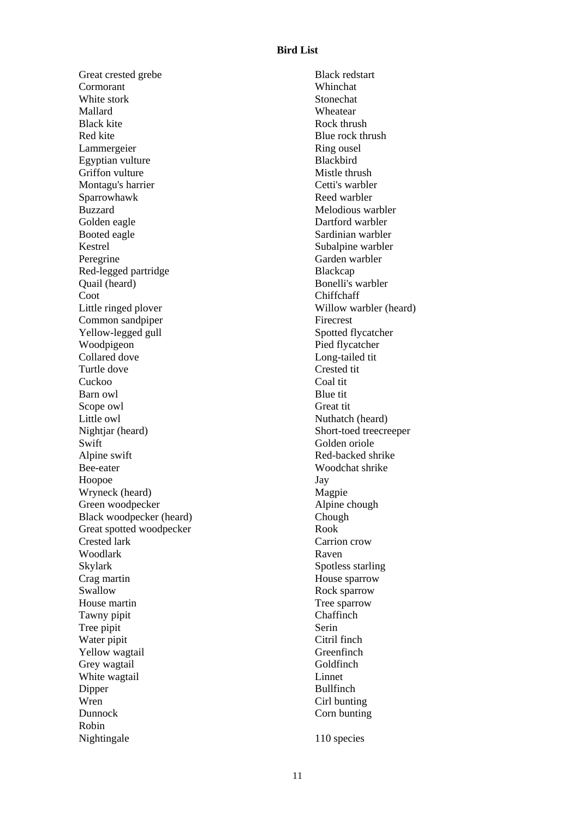# **Bird List**

Great crested grebe Cormorant White stork Mallard Black kite Red kite Lammergeier Egyptian vulture Griffon vulture Montagu's harrier Sparrowhawk Buzzard Golden eagle Booted eagle Kestrel Peregrine Red-legged partridge Quail (heard) Coot Little ringed plover Common sandpiper Yellow-legged gull Woodpigeon Collared dove Turtle dove Cuckoo Barn owl Scope owl Little owl Nightjar (heard) **Swift** Alpine swift Bee-eater Hoopoe Wryneck (heard) Green woodpecker Black woodpecker (heard) Great spotted woodpecker Crested lark Woodlark Skylark Crag martin **Swallow** House martin Tawny pipit Tree pipit Water pipit Yellow wagtail Grey wagtail White wagtail Dipper Wren Dunnock Robin Nightingale

Black redstart Whinchat Stonechat Wheatear Rock thrush Blue rock thrush Ring ousel Blackbird Mistle thrush Cetti's warbler Reed warbler Melodious warbler Dartford warbler Sardinian warbler Subalpine warbler Garden warbler Blackcap Bonelli's warbler Chiffchaff Willow warbler (heard) Firecrest Spotted flycatcher Pied flycatcher Long-tailed tit Crested tit Coal tit Blue tit Great tit Nuthatch (heard) Short-toed treecreeper Golden oriole Red-backed shrike Woodchat shrike Jay Magpie Alpine chough Chough Rook Carrion crow Raven Spotless starling House sparrow Rock sparrow Tree sparrow **Chaffinch** Serin Citril finch Greenfinch Goldfinch Linnet Bullfinch Cirl bunting Corn bunting

110 species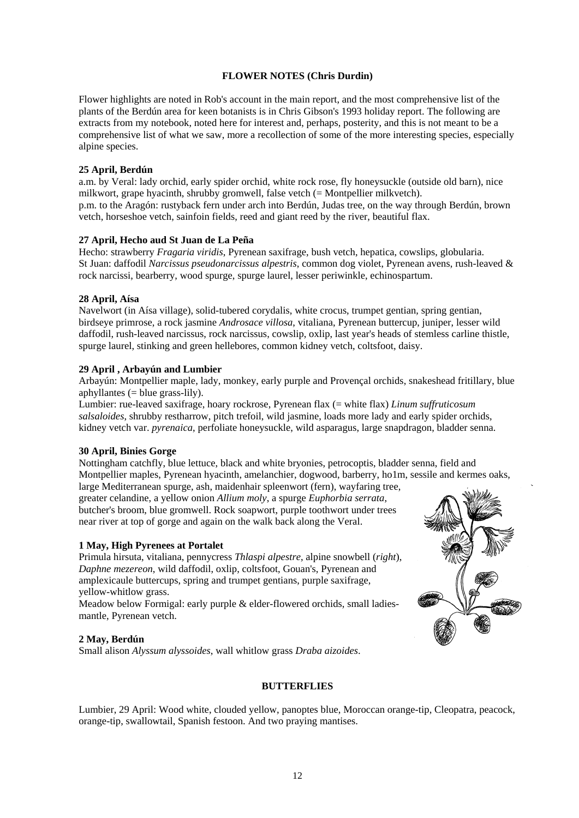# **FLOWER NOTES (Chris Durdin)**

Flower highlights are noted in Rob's account in the main report, and the most comprehensive list of the plants of the Berdún area for keen botanists is in Chris Gibson's 1993 holiday report. The following are extracts from my notebook, noted here for interest and, perhaps, posterity, and this is not meant to be a comprehensive list of what we saw, more a recollection of some of the more interesting species, especially alpine species.

#### **25 April, Berdún**

a.m. by Veral: lady orchid, early spider orchid, white rock rose, fly honeysuckle (outside old barn), nice milkwort, grape hyacinth, shrubby gromwell, false vetch (= Montpellier milkvetch). p.m. to the Aragón: rustyback fern under arch into Berdún, Judas tree, on the way through Berdún, brown vetch, horseshoe vetch, sainfoin fields, reed and giant reed by the river, beautiful flax.

# **27 April, Hecho aud St Juan de La Peña**

Hecho: strawberry *Fragaria viridis*, Pyrenean saxifrage, bush vetch, hepatica, cowslips, globularia. St Juan: daffodil *Narcissus pseudonarcissus alpestris*, common dog violet, Pyrenean avens, rush-leaved & rock narcissi, bearberry, wood spurge, spurge laurel, lesser periwinkle, echinospartum.

#### **28 April, Aísa**

Navelwort (in Aísa village), solid-tubered corydalis, white crocus, trumpet gentian, spring gentian, birdseye primrose, a rock jasmine *Androsace villosa*, vitaliana, Pyrenean buttercup, juniper, lesser wild daffodil, rush-leaved narcissus, rock narcissus, cowslip, oxlip, last year's heads of stemless carline thistle, spurge laurel, stinking and green hellebores, common kidney vetch, coltsfoot, daisy.

#### **29 April , Arbayún and Lumbier**

Arbayún: Montpellier maple, lady, monkey, early purple and Provençal orchids, snakeshead fritillary, blue aphyllantes (= blue grass-lily).

Lumbier: rue-leaved saxifrage, hoary rockrose, Pyrenean flax (= white flax) *Linum suffruticosum salsaloides*, shrubby restharrow, pitch trefoil, wild jasmine, loads more lady and early spider orchids, kidney vetch var. *pyrenaica*, perfoliate honeysuckle, wild asparagus, large snapdragon, bladder senna.

#### **30 April, Binies Gorge**

Nottingham catchfly, blue lettuce, black and white bryonies, petrocoptis, bladder senna, field and Montpellier maples, Pyrenean hyacinth, amelanchier, dogwood, barberry, ho1m, sessile and kermes oaks, large Mediterranean spurge, ash, maidenhair spleenwort (fern), wayfaring tree,

greater celandine, a yellow onion *Allium moly*, a spurge *Euphorbia serrata*, butcher's broom, blue gromwell. Rock soapwort, purple toothwort under trees near river at top of gorge and again on the walk back along the Veral.

#### **1 May, High Pyrenees at Portalet**

Primula hirsuta, vitaliana, pennycress *Thlaspi alpestre*, alpine snowbell (*right*), *Daphne mezereon*, wild daffodil, oxlip, coltsfoot, Gouan's, Pyrenean and amplexicaule buttercups, spring and trumpet gentians, purple saxifrage, yellow-whitlow grass.

Meadow below Formigal: early purple & elder-flowered orchids, small ladiesmantle, Pyrenean vetch.

#### **2 May, Berdún**

Small alison *Alyssum alyssoides*, wall whitlow grass *Draba aizoides*.

#### **BUTTERFLIES**

Lumbier, 29 April: Wood white, clouded yellow, panoptes blue, Moroccan orange-tip, Cleopatra, peacock, orange-tip, swallowtail, Spanish festoon. And two praying mantises.